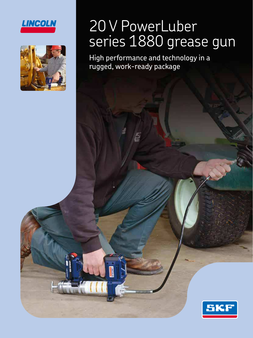



## 20 V PowerLuber series 1880 grease gun

High performance and technology in a rugged, work-ready package

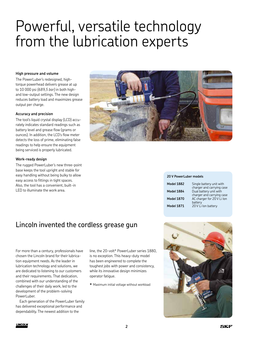### Powerful, versatile technology from the lubrication experts

#### **High pressure and volume**

The PowerLuber's redesigned, hightorque powerhead delivers grease at up to 10 000 psi *(689,5 bar)* in both highand low-output settings. The new design reduces battery load and maximizes grease output per charge.

#### **Accuracy and precision**

The tool's liquid crystal display (LCD) accurately indicates standard readings such as battery level and grease flow (grams or ounces). In addition, the LCD's flow meter detects the loss of prime, eliminating false readings to help ensure the equipment being serviced is properly lubricated.

#### **Work-ready design**

The rugged PowerLuber's new three-point base keeps the tool upright and stable for easy handling without being bulky to allow easy access to fittings in tight spaces. Also, the tool has a convenient, built-in LED to illuminate the work area.



#### **20 V PowerLuber models**

| <b>Model 1882</b> | Single battery unit with                                |
|-------------------|---------------------------------------------------------|
| <b>Model 1884</b> | charger and carrying case<br>Dual battery unit with     |
| <b>Model 1870</b> | charger and carrying case<br>AC charger for 20 V Li lon |
| <b>Model 1871</b> | battery<br>20 V Li lon battery                          |

### Lincoln invented the cordless grease gun

For more than a century, professionals have chosen the Lincoln brand for their lubrication equipment needs. As the leader in lubrication technology and solutions, we are dedicated to listening to our customers and their requirements. That dedication, combined with our understanding of the challenges of their daily work, led to the development of the problem-solving PowerLuber.

Each generation of the PowerLuber family has delivered exceptional performance and dependability. The newest addition to the

line, the 20-volt\* PowerLuber series 1880, is no exception. This heavy-duty model has been engineered to complete the toughest jobs with power and consistency, while its innovative design minimizes operator fatigue.

**\*** Maximum initial voltage without workload

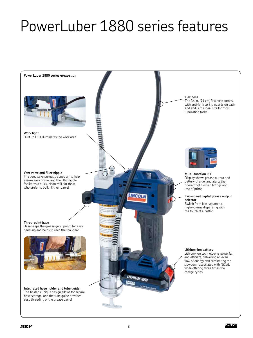# PowerLuber 1880 series features